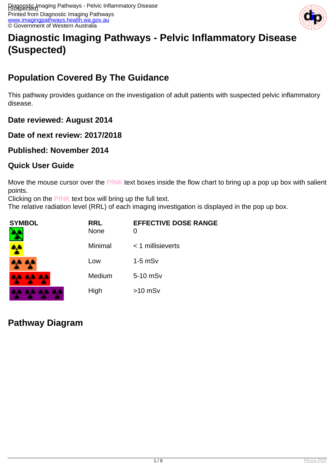

# **Diagnostic Imaging Pathways - Pelvic Inflammatory Disease (Suspected)**

## **Population Covered By The Guidance**

This pathway provides guidance on the investigation of adult patients with suspected pelvic inflammatory disease.

**Date reviewed: August 2014**

**Date of next review: 2017/2018**

**Published: November 2014**

#### **Quick User Guide**

Move the mouse cursor over the PINK text boxes inside the flow chart to bring up a pop up box with salient points.

Clicking on the PINK text box will bring up the full text.

The relative radiation level (RRL) of each imaging investigation is displayed in the pop up box.

| <b>SYMBOL</b> | <b>RRL</b><br>None | <b>EFFECTIVE DOSE RANGE</b><br>O |
|---------------|--------------------|----------------------------------|
|               | Minimal            | $<$ 1 millisieverts              |
| <b>TABLE</b>  | Low                | $1-5$ mS $v$                     |
| 4444          | Medium             | 5-10 mSv                         |
|               | High               | $>10$ mSv                        |

## **Pathway Diagram**

. . . .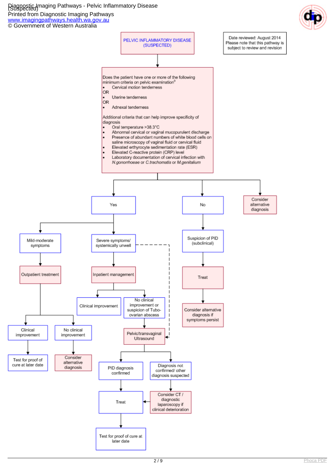Diagnostic Imaging Pathways - Pelvic Inflammatory Disease (Suspected)

Printed from Diagnostic Imaging Pathways

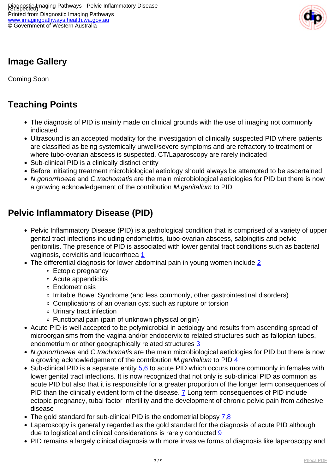

## **Image Gallery**

Coming Soon

## **Teaching Points**

- The diagnosis of PID is mainly made on clinical grounds with the use of imaging not commonly indicated
- Ultrasound is an accepted modality for the investigation of clinically suspected PID where patients are classified as being systemically unwell/severe symptoms and are refractory to treatment or where tubo-ovarian abscess is suspected. CT/Laparoscopy are rarely indicated
- Sub-clinical PID is a clinically distinct entity
- Before initiating treatment microbiological aetiology should always be attempted to be ascertained
- N.gonorrhoeae and C.trachomatis are the main microbiological aetiologies for PID but there is now a growing acknowledgement of the contribution M.genitalium to PID

### **Pelvic Inflammatory Disease (PID)**

- Pelvic Inflammatory Disease (PID) is a pathological condition that is comprised of a variety of upper genital tract infections including endometritis, tubo-ovarian abscess, salpingitis and pelvic peritonitis. The presence of PID is associated with lower genital tract conditions such as bacterial vaginosis, cervicitis and leucorrhoea [1](index.php?option=com_content&view=article&id=382&tab=references#1)
- The differential diagnosis for lower abdominal pain in young women include [2](index.php?option=com_content&view=article&id=382&tab=references#2)
	- Ectopic pregnancy
	- Acute appendicitis
	- Endometriosis
	- Irritable Bowel Syndrome (and less commonly, other gastrointestinal disorders)
	- Complications of an ovarian cyst such as rupture or torsion
	- Urinary tract infection
	- Functional pain (pain of unknown physical origin)
- Acute PID is well accepted to be polymicrobial in aetiology and results from ascending spread of microorganisms from the vagina and/or endocervix to related structures such as fallopian tubes, endometrium or other geographically related structures [3](index.php?option=com_content&view=article&id=382&tab=references#3)
- N.gonorrhoeae and C.trachomatis are the main microbiological aetiologies for PID but there is now a growing acknowledgement of the contribution M.genitalium to PID [4](index.php?option=com_content&view=article&id=382&tab=references#4)
- Sub-clinical PID is a separate entity  $\frac{5}{6}$  to acute PID which occurs more commonly in females with lower genital tract infections. It is now recognized that not only is sub-clinical PID as common as acute PID but also that it is responsible for a greater proportion of the longer term consequences of PID than the clinically evident form of the disease. **7** Long term consequences of PID include ectopic pregnancy, tubal factor infertility and the development of chronic pelvic pain from adhesive disease
- The gold standard for sub-clinical PID is the endometrial biopsy [7](index.php?option=com_content&view=article&id=382&tab=references#7).[8](index.php?option=com_content&view=article&id=382&tab=references#8)
- Laparoscopy is generally regarded as the gold standard for the diagnosis of acute PID although due to logistical and clinical considerations is rarely conducted [9](index.php?option=com_content&view=article&id=382&tab=references#9)
- PID remains a largely clinical diagnosis with more invasive forms of diagnosis like laparoscopy and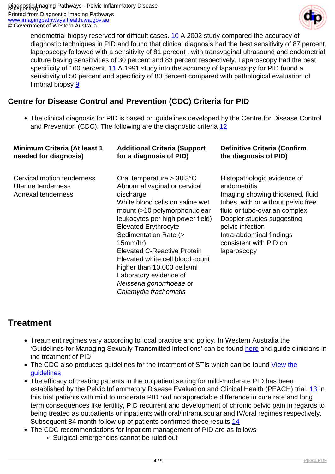

endometrial biopsy reserved for difficult cases. [10](index.php?option=com_content&view=article&id=382&tab=references#10) A 2002 study compared the accuracy of diagnostic techniques in PID and found that clinical diagnosis had the best sensitivity of 87 percent, laparoscopy followed with a sensitivity of 81 percent , with transvaginal ultrasound and endometrial culture having sensitivities of 30 percent and 83 percent respectively. Laparoscopy had the best specificity of 100 percent. [11](index.php?option=com_content&view=article&id=382&tab=references#11) A 1991 study into the accuracy of laparoscopy for PID found a sensitivity of 50 percent and specificity of 80 percent compared with pathological evaluation of fimbrial biopsy [9](index.php?option=com_content&view=article&id=382&tab=references#9)

#### **Centre for Disease Control and Prevention (CDC) Criteria for PID**

The clinical diagnosis for PID is based on guidelines developed by the Centre for Disease Control and Prevention (CDC). The following are the diagnostic criteria [12](index.php?option=com_content&view=article&id=382&tab=references#12)

| <b>Minimum Criteria (At least 1</b>                                    | <b>Additional Criteria (Support</b>                                                                                                                                                                                                                                                                                                                                                                                                                | <b>Definitive Criteria (Confirm</b>                                                                                                                                                                                                                                           |
|------------------------------------------------------------------------|----------------------------------------------------------------------------------------------------------------------------------------------------------------------------------------------------------------------------------------------------------------------------------------------------------------------------------------------------------------------------------------------------------------------------------------------------|-------------------------------------------------------------------------------------------------------------------------------------------------------------------------------------------------------------------------------------------------------------------------------|
| needed for diagnosis)                                                  | for a diagnosis of PID)                                                                                                                                                                                                                                                                                                                                                                                                                            | the diagnosis of PID)                                                                                                                                                                                                                                                         |
| Cervical motion tenderness<br>Uterine tenderness<br>Adnexal tenderness | Oral temperature $> 38.3^{\circ}$ C<br>Abnormal vaginal or cervical<br>discharge<br>White blood cells on saline wet<br>mount (>10 polymorphonuclear<br>leukocytes per high power field)<br><b>Elevated Erythrocyte</b><br>Sedimentation Rate (><br>15mm/hr)<br><b>Elevated C-Reactive Protein</b><br>Elevated white cell blood count<br>higher than 10,000 cells/ml<br>Laboratory evidence of<br>Neisseria gonorrhoeae or<br>Chlamydia trachomatis | Histopathologic evidence of<br>endometritis<br>Imaging showing thickened, fluid<br>tubes, with or without pelvic free<br>fluid or tubo-ovarian complex<br>Doppler studies suggesting<br>pelvic infection<br>Intra-abdominal findings<br>consistent with PID on<br>laparoscopy |

### **Treatment**

- Treatment regimes vary according to local practice and policy. In Western Australia the 'Guidelines for Managing Sexually Transmitted Infections' can be found [here](http://silverbook.health.wa.gov.au/Default.asp?PublicationID=1) and guide clinicians in the treatment of PID
- The CDC also produces guidelines for the treatment of STIs which can be found [View the](http://www.cdc.gov.rplibresources.health.wa.gov.au/mmwr/preview/mmwrhtml/rr5912a1.htm) [guidelines](http://www.cdc.gov.rplibresources.health.wa.gov.au/mmwr/preview/mmwrhtml/rr5912a1.htm)
- The efficacy of treating patients in the outpatient setting for mild-moderate PID has been established by the Pelvic Inflammatory Disease Evaluation and Clinical Health (PEACH) trial. [13](index.php?option=com_content&view=article&id=382&tab=references#13) In this trial patients with mild to moderate PID had no appreciable difference in cure rate and long term consequences like fertility, PID recurrent and development of chronic pelvic pain in regards to being treated as outpatients or inpatients with oral/intramuscular and IV/oral regimes respectively. Subsequent 84 month follow-up of patients confirmed these results [14](index.php?option=com_content&view=article&id=382&tab=references#14)
- The CDC recommendations for inpatient management of PID are as follows
	- Surgical emergencies cannot be ruled out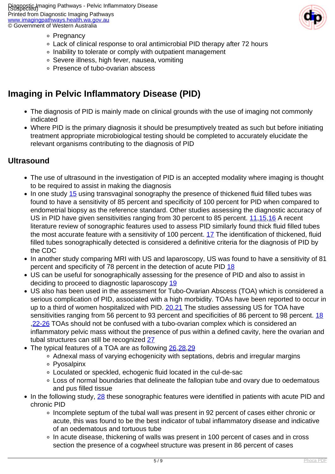Piagnostic Imaging Pathways - Pelvic Inflammatory Disease Printed from Diagnostic Imaging Pathways [www.imagingpathways.health.wa.gov.au](http://www.imagingpathways.health.wa.gov.au/) © Government of Western Australia



- ∘ Pregnancy
- Lack of clinical response to oral antimicrobial PID therapy after 72 hours
- o Inability to tolerate or comply with outpatient management
- Severe illness, high fever, nausea, vomiting
- Presence of tubo-ovarian abscess

### **Imaging in Pelvic Inflammatory Disease (PID)**

- The diagnosis of PID is mainly made on clinical grounds with the use of imaging not commonly indicated
- Where PID is the primary diagnosis it should be presumptively treated as such but before initiating treatment appropriate microbiological testing should be completed to accurately elucidate the relevant organisms contributing to the diagnosis of PID

#### **Ultrasound**

- The use of ultrasound in the investigation of PID is an accepted modality where imaging is thought to be required to assist in making the diagnosis
- $\bullet$  In one study [15](index.php?option=com_content&view=article&id=382&tab=references#15) using transvaginal sonography the presence of thickened fluid filled tubes was found to have a sensitivity of 85 percent and specificity of 100 percent for PID when compared to endometrial biopsy as the reference standard. Other studies assessing the diagnostic accuracy of US in PID have given sensitivities ranging from 30 percent to 85 percent. [11](index.php?option=com_content&view=article&id=382&tab=references#11)[,15,](index.php?option=com_content&view=article&id=382&tab=references#15)[16](index.php?option=com_content&view=article&id=382&tab=references#16) A recent literature review of sonographic features used to assess PID similarly found thick fluid filled tubes the most accurate feature with a sensitivity of 100 percent. [17](index.php?option=com_content&view=article&id=382&tab=references#17) The identification of thickened, fluid filled tubes sonographically detected is considered a definitive criteria for the diagnosis of PID by the CDC
- In another study comparing MRI with US and laparoscopy, US was found to have a sensitivity of 81 percent and specificity of 78 percent in the detection of acute PID [18](index.php?option=com_content&view=article&id=382&tab=references#18)
- US can be useful for sonographically assessing for the presence of PID and also to assist in deciding to proceed to diagnostic laparoscopy [19](index.php?option=com_content&view=article&id=382&tab=references#19)
- US also has been used in the assessment for Tubo-Ovarian Abscess (TOA) which is considered a serious complication of PID, associated with a high morbidity. TOAs have been reported to occur in up to a third of women hospitalized with PID. 20.[21](index.php?option=com_content&view=article&id=382&tab=references#21) The studies assessing US for TOA have sensitivities ranging from 56 percent to 93 percent and specificities of 86 percent to 98 percent. [18](index.php?option=com_content&view=article&id=382&tab=references#18) ,[22-26](index.php?option=com_content&view=article&id=382&tab=references#22) TOAs should not be confused with a tubo-ovarian complex which is considered an inflammatory pelvic mass without the presence of pus within a defined cavity, here the ovarian and tubal structures can still be recognized [27](index.php?option=com_content&view=article&id=382&tab=references#27)
- The typical features of a TOA are as following [26,](index.php?option=com_content&view=article&id=382&tab=references#26)[28](index.php?option=com_content&view=article&id=382&tab=references#28),[29](index.php?option=com_content&view=article&id=382&tab=references#29)
	- Adnexal mass of varying echogenicity with septations, debris and irregular margins
	- Pyosalpinx
	- Loculated or speckled, echogenic fluid located in the cul-de-sac
	- Loss of normal boundaries that delineate the fallopian tube and ovary due to oedematous and pus filled tissue
- In the following study, [28](index.php?option=com_content&view=article&id=382&tab=references#28) these sonographic features were identified in patients with acute PID and chronic PID
	- Incomplete septum of the tubal wall was present in 92 percent of cases either chronic or acute, this was found to be the best indicator of tubal inflammatory disease and indicative of an oedematous and tortuous tube
	- In acute disease, thickening of walls was present in 100 percent of cases and in cross section the presence of a cogwheel structure was present in 86 percent of cases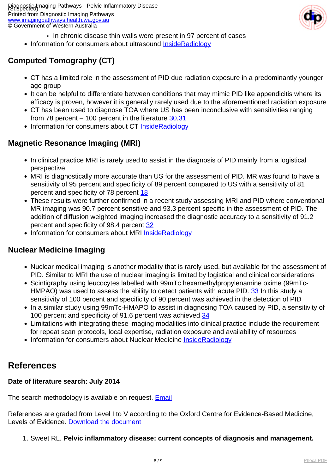

- In chronic disease thin walls were present in 97 percent of cases
- Information for consumers about ultrasound [InsideRadiology](http://insideradiology.com.au/pages/view.php?T_id=5#.U-F_FaPwA0k)

### **Computed Tomography (CT)**

- CT has a limited role in the assessment of PID due radiation exposure in a predominantly younger age group
- It can be helpful to differentiate between conditions that may mimic PID like appendicitis where its efficacy is proven, however it is generally rarely used due to the aforementioned radiation exposure
- CT has been used to diagnose TOA where US has been inconclusive with sensitivities ranging from 78 percent  $-100$  percent in the literature  $30,31$  $30,31$  $30,31$
- Information for consumers about CT [InsideRadiology](http://insideradiology.com.au/pages/view.php?T_id=61#.U-F_TKPwA0k)

#### **Magnetic Resonance Imaging (MRI)**

- In clinical practice MRI is rarely used to assist in the diagnosis of PID mainly from a logistical perspective
- MRI is diagnostically more accurate than US for the assessment of PID. MR was found to have a sensitivity of 95 percent and specificity of 89 percent compared to US with a sensitivity of 81 percent and specificity of 78 percent [18](index.php?option=com_content&view=article&id=382&tab=references#18)
- These results were further confirmed in a recent study assessing MRI and PID where conventional MR imaging was 90.7 percent sensitive and 93.3 percent specific in the assessment of PID. The addition of diffusion weighted imaging increased the diagnostic accuracy to a sensitivity of 91.2 percent and specificity of 98.4 percent [32](index.php?option=com_content&view=article&id=382&tab=references#32)
- Information for consumers about MRI [InsideRadiology](http://insideradiology.com.au/pages/view.php?T_id=53#.U-F_hKPwA0k)

#### **Nuclear Medicine Imaging**

- Nuclear medical imaging is another modality that is rarely used, but available for the assessment of PID. Similar to MRI the use of nuclear imaging is limited by logistical and clinical considerations
- Scintigraphy using leucocytes labelled with 99mTc hexamethylpropylenamine oxime (99mTc-HMPAO) was used to assess the ability to detect patients with acute PID. [33](index.php?option=com_content&view=article&id=382&tab=references#33) In this study a sensitivity of 100 percent and specificity of 90 percent was achieved in the detection of PID
- In a similar study using 99mTc-HMAPO to assist in diagnosing TOA caused by PID, a sensitivity of 100 percent and specificity of 91.6 percent was achieved [34](index.php?option=com_content&view=article&id=382&tab=references#34)
- Limitations with integrating these imaging modalities into clinical practice include the requirement for repeat scan protocols, local expertise, radiation exposure and availability of resources
- Information for consumers about Nuclear Medicine [InsideRadiology](http://insideradiology.com.au/pages/view.php?T_id=66#.U-F_lqPwA0k)

### **References**

#### **Date of literature search: July 2014**

The search methodology is available on request. [Email](index.php/contact-us)

References are graded from Level I to V according to the Oxford Centre for Evidence-Based Medicine, Levels of Evidence. [Download the document](http://www.cebm.net/wp-content/uploads/2014/06/CEBM-Levels-of-Evidence-2.1.pdf)

#### 1. Sweet RL. **Pelvic inflammatory disease: current concepts of diagnosis and management.**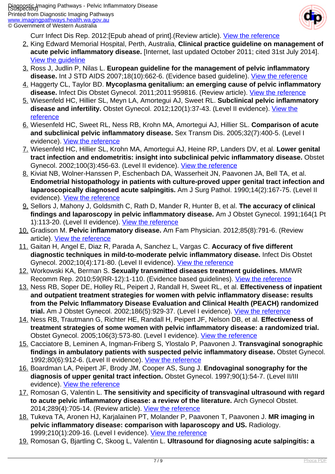

Curr Infect Dis Rep. 2012:[Epub ahead of print].(Review article). [View the reference](http://www.ncbi.nlm.nih.gov/pubmed/22298157)

- 2. King Edward Memorial Hospital, Perth, Australia, **Clinical practice guideline on management of acute pelvic inflammatory disease.** [Internet, last updated October 2011; cited 31st July 2014]. [View the guideline](http://www.kemh.health.wa.gov.au/development/manuals/O&G_guidelines/sectionc/6/c6.1.3.1.pdf)
- 3. Ross J, Judlin P, Nilas L. **European guideline for the management of pelvic inflammatory disease.** Int J STD AIDS 2007;18(10):662-6. (Evidence based guideline). [View the reference](http://www.ncbi.nlm.nih.gov/pubmed/17945043)
- 4. Haggerty CL, Taylor BD. **Mycoplasma genitalium: an emerging cause of pelvic inflammatory disease.** Infect Dis Obstet Gynecol. 2011;2011:959816. (Review article). [View the reference](http://www.ncbi.nlm.nih.gov/pubmed/22235165)
- 5. Wiesenfeld HC, Hillier SL, Meyn LA, Amortegui AJ, Sweet RL. **Subclinical pelvic inflammatory disease and infertility.** Obstet Gynecol. 2012;120(1):37-43. (Level II evidence). [View the](http://www.ncbi.nlm.nih.gov/pubmed/22678036) [reference](http://www.ncbi.nlm.nih.gov/pubmed/22678036)
- 6. Wiesenfeld HC, Sweet RL, Ness RB, Krohn MA, Amortegui AJ, Hillier SL. **Comparison of acute and subclinical pelvic inflammatory disease.** Sex Transm Dis. 2005;32(7):400-5. (Level I evidence). [View the reference](http://www.ncbi.nlm.nih.gov/pubmed/15976596)
- 7. Wiesenfeld HC, Hillier SL, Krohn MA, Amortegui AJ, Heine RP, Landers DV, et al. **Lower genital tract infection and endometritis: insight into subclinical pelvic inflammatory disease.** Obstet Gynecol. 2002;100(3):456-63. (Level II evidence). [View the reference](http://www.ncbi.nlm.nih.gov/pubmed/12220764)
- 8. Kiviat NB, Wolner-Hanssen P, Eschenbach DA, Wasserheit JN, Paavonen JA, Bell TA, et al. **Endometrial histopathology in patients with culture-proved upper genital tract infection and laparoscopically diagnosed acute salpingitis.** Am J Surg Pathol. 1990;14(2):167-75. (Level II evidence). [View the reference](http://www.ncbi.nlm.nih.gov/pubmed/2137304)
- 9. Sellors J, Mahony J, Goldsmith C, Rath D, Mander R, Hunter B, et al. **The accuracy of clinical findings and laparoscopy in pelvic inflammatory disease.** Am J Obstet Gynecol. 1991;164(1 Pt 1):113-20. (Level II evidence). [View the reference](http://www.ncbi.nlm.nih.gov/pubmed/1824740)
- 10. Gradison M. **Pelvic inflammatory disease.** Am Fam Physician. 2012;85(8):791-6. (Review article). **[View the reference](http://www.ncbi.nlm.nih.gov/pubmed/22534388)**
- 11. Gaitan H, Angel E, Diaz R, Parada A, Sanchez L, Vargas C. **Accuracy of five different diagnostic techniques in mild-to-moderate pelvic inflammatory disease.** Infect Dis Obstet Gynecol. 2002;10(4):171-80. (Level II evidence). [View the reference](http://www.ncbi.nlm.nih.gov/pubmed/12648310)
- 12. Workowski KA, Berman S. **Sexually transmitted diseases treatment guidelines.** MMWR Recomm Rep. 2010;59(RR-12):1-110. (Evidence based guidelines). [View the reference](http://www.ncbi.nlm.nih.gov/pubmed/21160459)
- 13. Ness RB, Soper DE, Holley RL, Peipert J, Randall H, Sweet RL, et al. **Effectiveness of inpatient and outpatient treatment strategies for women with pelvic inflammatory disease: results from the Pelvic Inflammatory Disease Evaluation and Clinical Health (PEACH) randomized trial.** Am J Obstet Gynecol. 2002;186(5):929-37. (Level I evidence). [View the reference](http://www.ncbi.nlm.nih.gov/pubmed/12015517)
- 14. Ness RB, Trautmann G, Richter HE, Randall H, Peipert JF, Nelson DB, et al. **Effectiveness of treatment strategies of some women with pelvic inflammatory disease: a randomized trial.** Obstet Gynecol. 2005;106(3):573-80. (Level I evidence). [View the reference](http://www.ncbi.nlm.nih.gov/pubmed/16135590)
- 15. Cacciatore B, Leminen A, Ingman-Friberg S, Ylostalo P, Paavonen J. **Transvaginal sonographic findings in ambulatory patients with suspected pelvic inflammatory disease.** Obstet Gynecol. 1992;80(6):912-6. (Level II evidence). [View the reference](http://www.ncbi.nlm.nih.gov/pubmed/1448258)
- 16. Boardman LA, Peipert JF, Brody JM, Cooper AS, Sung J. **Endovaginal sonography for the diagnosis of upper genital tract infection.** Obstet Gynecol. 1997;90(1):54-7. (Level II/III evidence). [View the reference](http://www.ncbi.nlm.nih.gov/pubmed/9207813)
- 17. Romosan G, Valentin L. **The sensitivity and specificity of transvaginal ultrasound with regard to acute pelvic inflammatory disease: a review of the literature.** Arch Gynecol Obstet. 2014;289(4):705-14. (Review article). [View the reference](http://www.ncbi.nlm.nih.gov/pubmed/24287707)
- 18. Tukeva TA, Aronen HJ, Karjalainen PT, Molander P, Paavonen T, Paavonen J. **MR imaging in pelvic inflammatory disease: comparison with laparoscopy and US.** Radiology. 1999;210(1):209-16. (Level I evidence). [View the reference](http://www.ncbi.nlm.nih.gov/pubmed/9885610)
- 19. Romosan G, Bjartling C, Skoog L, Valentin L. **Ultrasound for diagnosing acute salpingitis: a**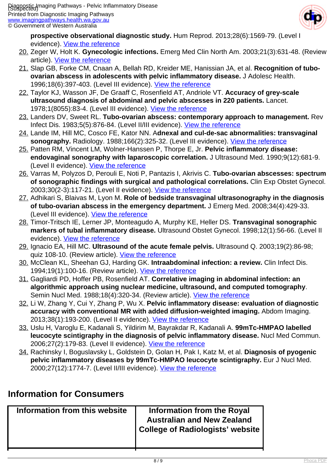

**prospective observational diagnostic study.** Hum Reprod. 2013;28(6):1569-79. (Level I evidence). [View the reference](http://www.ncbi.nlm.nih.gov/pubmed/23503942)

- 20. Zeger W, Holt K. **Gynecologic infections.** Emerg Med Clin North Am. 2003;21(3):631-48. (Review article). [View the reference](http://www.ncbi.nlm.nih.gov/pubmed/12962350)
- 21. Slap GB, Forke CM, Cnaan A, Bellah RD, Kreider ME, Hanissian JA, et al. **Recognition of tuboovarian abscess in adolescents with pelvic inflammatory disease.** J Adolesc Health. 1996;18(6):397-403. (Level III evidence). [View the reference](http://www.ncbi.nlm.nih.gov/pubmed/8803731)
- 22. Taylor KJ, Wasson JF, De Graaff C, Rosenfield AT, Andriole VT. **Accuracy of grey-scale ultrasound diagnosis of abdominal and pelvic abscesses in 220 patients.** Lancet. 1978;1(8055):83-4. (Level III evidence). [View the reference](http://www.ncbi.nlm.nih.gov/pubmed/74578)
- 23. Landers DV, Sweet RL. **Tubo-ovarian abscess: contemporary approach to management.** Rev Infect Dis. 1983;5(5):876-84. (Level II/III evidence). [View the reference](http://www.ncbi.nlm.nih.gov/pubmed/6635426)
- 24. Lande IM, Hill MC, Cosco FE, Kator NN. A**dnexal and cul-de-sac abnormalities: transvaginal sonography.** Radiology. 1988;166(2):325-32. (Level III evidence). [View the reference](http://www.ncbi.nlm.nih.gov/pubmed/3275977)
- 25. Patten RM, Vincent LM, Wolner-Hanssen P, Thorpe E, Jr. **Pelvic inflammatory disease: endovaginal sonography with laparoscopic correlation.** J Ultrasound Med. 1990;9(12):681-9. (Level II evidence). [View the reference](http://www.ncbi.nlm.nih.gov/pubmed/2148953)
- 26. Varras M, Polyzos D, Perouli E, Noti P, Pantazis I, Akrivis C. **Tubo-ovarian abscesses: spectrum of sonographic findings with surgical and pathological correlations.** Clin Exp Obstet Gynecol. 2003;30(2-3):117-21. (Level II evidence). [View the reference](http://www.ncbi.nlm.nih.gov/pubmed/12854857)
- 27. Adhikari S, Blaivas M, Lyon M. **Role of bedside transvaginal ultrasonography in the diagnosis of tubo-ovarian abscess in the emergency department.** J Emerg Med. 2008;34(4):429-33. (Level III evidence). [View the reference](http://www.ncbi.nlm.nih.gov/pubmed/18242924)
- 28. Timor-Tritsch IE, Lerner JP, Monteagudo A, Murphy KE, Heller DS. **Transvaginal sonographic markers of tubal inflammatory disease.** Ultrasound Obstet Gynecol. 1998;12(1):56-66. (Level II evidence). [View the reference](http://www.ncbi.nlm.nih.gov/pubmed/9697286)
- 29. Ignacio EA, Hill MC. **Ultrasound of the acute female pelvis.** Ultrasound Q. 2003;19(2):86-98; quiz 108-10. (Review article). [View the reference](http://www.ncbi.nlm.nih.gov/pubmed/12973093)
- 30. McClean KL, Sheehan GJ, Harding GK. **Intraabdominal infection: a review.** Clin Infect Dis. 1994;19(1):100-16. (Review article). [View the reference](http://www.ncbi.nlm.nih.gov/pubmed/7948510)
- 31. Gagliardi PD, Hoffer PB, Rosenfield AT. **Correlative imaging in abdominal infection: an algorithmic approach using nuclear medicine, ultrasound, and computed tomography**. Semin Nucl Med. 1988;18(4):320-34. (Review article). [View the reference](http://www.ncbi.nlm.nih.gov/pubmed/7948510)
- 32. Li W, Zhang Y, Cui Y, Zhang P, Wu X. **Pelvic inflammatory disease: evaluation of diagnostic accuracy with conventional MR with added diffusion-weighted imaging.** Abdom Imaging. 2013;38(1):193-200. (Level II evidence). [View the reference](http://www.ncbi.nlm.nih.gov/pubmed/22527159)
- 33. Uslu H, Varoglu E, Kadanali S, Yildirim M, Bayrakdar R, Kadanali A. **99mTc-HMPAO labelled leucocyte scintigraphy in the diagnosis of pelvic inflammatory disease.** Nucl Med Commun. 2006;27(2):179-83. (Level II evidence). [View the reference](http://www.ncbi.nlm.nih.gov/pubmed/16404232)
- 34. Rachinsky I, Boguslavsky L, Goldstein D, Golan H, Pak I, Katz M, et al. **Diagnosis of pyogenic pelvic inflammatory diseases by 99mTc-HMPAO leucocyte scintigraphy.** Eur J Nucl Med. 2000;27(12):1774-7. (Level II/III evidence). [View the reference](http://www.ncbi.nlm.nih.gov/pubmed/11189939)

### **Information for Consumers**

| Information from this website | Information from the Royal<br><b>Australian and New Zealand</b><br><b>College of Radiologists' website</b> |
|-------------------------------|------------------------------------------------------------------------------------------------------------|
|                               |                                                                                                            |